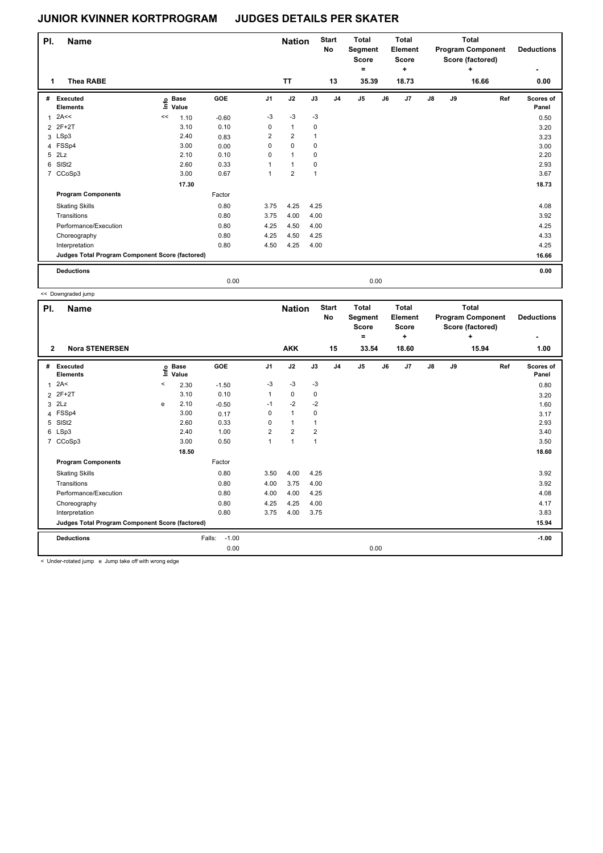| PI.            | <b>Name</b>                                     |    |                      |         |                | <b>Nation</b>  |      | <b>Start</b><br>No | <b>Total</b><br>Segment<br><b>Score</b><br>۰ |    | <b>Total</b><br>Element<br><b>Score</b><br>÷ |               |    | <b>Total</b><br><b>Program Component</b><br>Score (factored)<br>٠ | <b>Deductions</b>  |
|----------------|-------------------------------------------------|----|----------------------|---------|----------------|----------------|------|--------------------|----------------------------------------------|----|----------------------------------------------|---------------|----|-------------------------------------------------------------------|--------------------|
| 1              | <b>Thea RABE</b>                                |    |                      |         |                | <b>TT</b>      |      | 13                 | 35.39                                        |    | 18.73                                        |               |    | 16.66                                                             | 0.00               |
| #              | Executed<br><b>Elements</b>                     | ١m | <b>Base</b><br>Value | GOE     | J <sub>1</sub> | J2             | J3   | J <sub>4</sub>     | J <sub>5</sub>                               | J6 | J7                                           | $\mathsf{J}8$ | J9 | Ref                                                               | Scores of<br>Panel |
| 1              | 2A<<                                            | << | 1.10                 | $-0.60$ | $-3$           | $-3$           | $-3$ |                    |                                              |    |                                              |               |    |                                                                   | 0.50               |
|                | 2 2F+2T                                         |    | 3.10                 | 0.10    | 0              | $\mathbf{1}$   | 0    |                    |                                              |    |                                              |               |    |                                                                   | 3.20               |
|                | 3 LSp3                                          |    | 2.40                 | 0.83    | $\overline{2}$ | $\overline{2}$ | 1    |                    |                                              |    |                                              |               |    |                                                                   | 3.23               |
|                | 4 FSSp4                                         |    | 3.00                 | 0.00    | 0              | 0              | 0    |                    |                                              |    |                                              |               |    |                                                                   | 3.00               |
| 5              | 2Lz                                             |    | 2.10                 | 0.10    | 0              | $\overline{1}$ | 0    |                    |                                              |    |                                              |               |    |                                                                   | 2.20               |
| 6              | SISt <sub>2</sub>                               |    | 2.60                 | 0.33    |                | $\mathbf{1}$   | 0    |                    |                                              |    |                                              |               |    |                                                                   | 2.93               |
| $\overline{7}$ | CCoSp3                                          |    | 3.00                 | 0.67    | 1              | $\overline{2}$ | 1    |                    |                                              |    |                                              |               |    |                                                                   | 3.67               |
|                |                                                 |    | 17.30                |         |                |                |      |                    |                                              |    |                                              |               |    |                                                                   | 18.73              |
|                | <b>Program Components</b>                       |    |                      | Factor  |                |                |      |                    |                                              |    |                                              |               |    |                                                                   |                    |
|                | <b>Skating Skills</b>                           |    |                      | 0.80    | 3.75           | 4.25           | 4.25 |                    |                                              |    |                                              |               |    |                                                                   | 4.08               |
|                | Transitions                                     |    |                      | 0.80    | 3.75           | 4.00           | 4.00 |                    |                                              |    |                                              |               |    |                                                                   | 3.92               |
|                | Performance/Execution                           |    |                      | 0.80    | 4.25           | 4.50           | 4.00 |                    |                                              |    |                                              |               |    |                                                                   | 4.25               |
|                | Choreography                                    |    |                      | 0.80    | 4.25           | 4.50           | 4.25 |                    |                                              |    |                                              |               |    |                                                                   | 4.33               |
|                | Interpretation                                  |    |                      | 0.80    | 4.50           | 4.25           | 4.00 |                    |                                              |    |                                              |               |    |                                                                   | 4.25               |
|                | Judges Total Program Component Score (factored) |    |                      |         |                |                |      |                    |                                              |    |                                              |               |    |                                                                   | 16.66              |
|                | <b>Deductions</b>                               |    |                      |         |                |                |      |                    |                                              |    |                                              |               |    |                                                                   | 0.00               |
|                |                                                 |    |                      | 0.00    |                |                |      |                    | 0.00                                         |    |                                              |               |    |                                                                   |                    |

|                |                                                 |         | 0.00                 |                   |                |                |                |                    | 0.00                                         |       |                                              |            |    |                                                                   |     |                        |
|----------------|-------------------------------------------------|---------|----------------------|-------------------|----------------|----------------|----------------|--------------------|----------------------------------------------|-------|----------------------------------------------|------------|----|-------------------------------------------------------------------|-----|------------------------|
|                | << Downgraded jump                              |         |                      |                   |                |                |                |                    |                                              |       |                                              |            |    |                                                                   |     |                        |
| PI.            | <b>Name</b>                                     |         |                      |                   |                | <b>Nation</b>  |                | <b>Start</b><br>No | <b>Total</b><br>Segment<br><b>Score</b><br>۰ |       | <b>Total</b><br>Element<br><b>Score</b><br>÷ |            |    | <b>Total</b><br><b>Program Component</b><br>Score (factored)<br>٠ |     | <b>Deductions</b><br>۰ |
| $\overline{2}$ | <b>Nora STENERSEN</b>                           |         |                      |                   |                | <b>AKK</b>     |                | 15                 |                                              | 33.54 | 18.60                                        |            |    | 15.94                                                             |     | 1.00                   |
| #              | Executed<br><b>Elements</b>                     | Life    | <b>Base</b><br>Value | GOE               | J <sub>1</sub> | J2             | J3             | J <sub>4</sub>     | J <sub>5</sub>                               | J6    | J <sub>7</sub>                               | ${\sf J8}$ | J9 |                                                                   | Ref | Scores of<br>Panel     |
| $\mathbf{1}$   | 2A<                                             | $\,<\,$ | 2.30                 | $-1.50$           | $-3$           | $-3$           | $-3$           |                    |                                              |       |                                              |            |    |                                                                   |     | 0.80                   |
|                | 2 2F+2T                                         |         | 3.10                 | 0.10              | 1              | $\mathbf 0$    | 0              |                    |                                              |       |                                              |            |    |                                                                   |     | 3.20                   |
|                | $3$ $2Lz$                                       | e       | 2.10                 | $-0.50$           | $-1$           | $-2$           | $-2$           |                    |                                              |       |                                              |            |    |                                                                   |     | 1.60                   |
|                | 4 FSSp4                                         |         | 3.00                 | 0.17              | 0              | $\mathbf{1}$   | 0              |                    |                                              |       |                                              |            |    |                                                                   |     | 3.17                   |
|                | 5 SISt2                                         |         | 2.60                 | 0.33              | 0              | $\mathbf{1}$   | $\mathbf{1}$   |                    |                                              |       |                                              |            |    |                                                                   |     | 2.93                   |
|                | 6 LSp3                                          |         | 2.40                 | 1.00              | 2              | $\overline{2}$ | $\overline{2}$ |                    |                                              |       |                                              |            |    |                                                                   |     | 3.40                   |
|                | 7 CCoSp3                                        |         | 3.00                 | 0.50              | 1              | $\mathbf{1}$   | $\mathbf{1}$   |                    |                                              |       |                                              |            |    |                                                                   |     | 3.50                   |
|                |                                                 |         | 18.50                |                   |                |                |                |                    |                                              |       |                                              |            |    |                                                                   |     | 18.60                  |
|                | <b>Program Components</b>                       |         |                      | Factor            |                |                |                |                    |                                              |       |                                              |            |    |                                                                   |     |                        |
|                | <b>Skating Skills</b>                           |         |                      | 0.80              | 3.50           | 4.00           | 4.25           |                    |                                              |       |                                              |            |    |                                                                   |     | 3.92                   |
|                | Transitions                                     |         |                      | 0.80              | 4.00           | 3.75           | 4.00           |                    |                                              |       |                                              |            |    |                                                                   |     | 3.92                   |
|                | Performance/Execution                           |         |                      | 0.80              | 4.00           | 4.00           | 4.25           |                    |                                              |       |                                              |            |    |                                                                   |     | 4.08                   |
|                | Choreography                                    |         |                      | 0.80              | 4.25           | 4.25           | 4.00           |                    |                                              |       |                                              |            |    |                                                                   |     | 4.17                   |
|                | Interpretation                                  |         |                      | 0.80              | 3.75           | 4.00           | 3.75           |                    |                                              |       |                                              |            |    |                                                                   |     | 3.83                   |
|                | Judges Total Program Component Score (factored) |         |                      |                   |                |                |                |                    |                                              |       |                                              |            |    |                                                                   |     | 15.94                  |
|                | <b>Deductions</b>                               |         |                      | $-1.00$<br>Falls: |                |                |                |                    |                                              |       |                                              |            |    |                                                                   |     | $-1.00$                |
|                |                                                 |         |                      | 0.00              |                |                |                |                    |                                              | 0.00  |                                              |            |    |                                                                   |     |                        |

< Under-rotated jump e Jump take off with wrong edge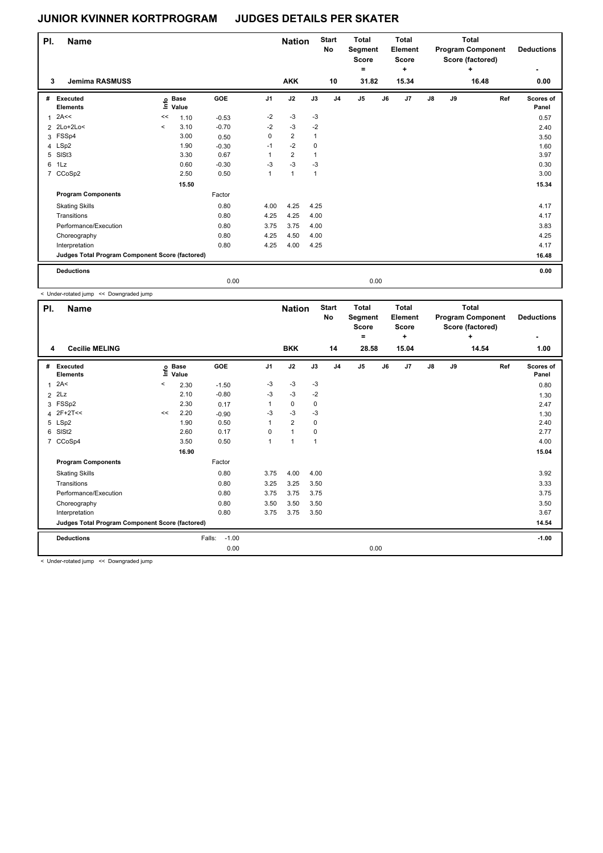| PI. | <b>Name</b>                                     |                     |                            |         |                | <b>Nation</b>  |                | <b>Start</b><br>No | <b>Total</b><br>Segment<br><b>Score</b><br>۰ |      | <b>Total</b><br>Element<br><b>Score</b><br>÷ |               |    | <b>Total</b><br><b>Program Component</b><br>Score (factored)<br>٠ | <b>Deductions</b>  |
|-----|-------------------------------------------------|---------------------|----------------------------|---------|----------------|----------------|----------------|--------------------|----------------------------------------------|------|----------------------------------------------|---------------|----|-------------------------------------------------------------------|--------------------|
|     | 3<br><b>Jemima RASMUSS</b>                      |                     |                            |         |                | <b>AKK</b>     |                | 10                 | 31.82                                        |      | 15.34                                        |               |    | 16.48                                                             | 0.00               |
| #   | Executed<br><b>Elements</b>                     |                     | e Base<br>E Value<br>Value | GOE     | J <sub>1</sub> | J2             | J3             | J <sub>4</sub>     | J <sub>5</sub>                               | J6   | J7                                           | $\mathsf{J}8$ | J9 | Ref                                                               | Scores of<br>Panel |
|     | 2A<<                                            | <<                  | 1.10                       | $-0.53$ | $-2$           | $-3$           | $-3$           |                    |                                              |      |                                              |               |    |                                                                   | 0.57               |
|     | 2 2Lo+2Lo<                                      | $\hat{\phantom{a}}$ | 3.10                       | $-0.70$ | $-2$           | $-3$           | $-2$           |                    |                                              |      |                                              |               |    |                                                                   | 2.40               |
|     | 3 FSSp4                                         |                     | 3.00                       | 0.50    | $\mathbf 0$    | $\overline{2}$ | $\overline{1}$ |                    |                                              |      |                                              |               |    |                                                                   | 3.50               |
|     | 4 LSp2                                          |                     | 1.90                       | $-0.30$ | $-1$           | $-2$           | 0              |                    |                                              |      |                                              |               |    |                                                                   | 1.60               |
| 5   | SISt <sub>3</sub>                               |                     | 3.30                       | 0.67    | 1              | $\overline{2}$ | 1              |                    |                                              |      |                                              |               |    |                                                                   | 3.97               |
| 6   | 1Lz                                             |                     | 0.60                       | $-0.30$ | $-3$           | $-3$           | $-3$           |                    |                                              |      |                                              |               |    |                                                                   | 0.30               |
|     | 7 CCoSp2                                        |                     | 2.50                       | 0.50    | $\mathbf{1}$   | $\mathbf{1}$   | $\overline{1}$ |                    |                                              |      |                                              |               |    |                                                                   | 3.00               |
|     |                                                 |                     | 15.50                      |         |                |                |                |                    |                                              |      |                                              |               |    |                                                                   | 15.34              |
|     | <b>Program Components</b>                       |                     |                            | Factor  |                |                |                |                    |                                              |      |                                              |               |    |                                                                   |                    |
|     | <b>Skating Skills</b>                           |                     |                            | 0.80    | 4.00           | 4.25           | 4.25           |                    |                                              |      |                                              |               |    |                                                                   | 4.17               |
|     | Transitions                                     |                     |                            | 0.80    | 4.25           | 4.25           | 4.00           |                    |                                              |      |                                              |               |    |                                                                   | 4.17               |
|     | Performance/Execution                           |                     |                            | 0.80    | 3.75           | 3.75           | 4.00           |                    |                                              |      |                                              |               |    |                                                                   | 3.83               |
|     | Choreography                                    |                     |                            | 0.80    | 4.25           | 4.50           | 4.00           |                    |                                              |      |                                              |               |    |                                                                   | 4.25               |
|     | Interpretation                                  |                     |                            | 0.80    | 4.25           | 4.00           | 4.25           |                    |                                              |      |                                              |               |    |                                                                   | 4.17               |
|     | Judges Total Program Component Score (factored) |                     |                            |         |                |                |                |                    |                                              |      |                                              |               |    |                                                                   | 16.48              |
|     | <b>Deductions</b>                               |                     |                            |         |                |                |                |                    |                                              |      |                                              |               |    |                                                                   | 0.00               |
|     |                                                 |                     |                            | 0.00    |                |                |                |                    |                                              | 0.00 |                                              |               |    |                                                                   |                    |

< Under-rotated jump << Downgraded jump

| PI.<br>4       | <b>Name</b><br><b>Cecilie MELING</b>            |                          |                            |                   |                | <b>Nation</b><br><b>BKK</b> |             | <b>Start</b><br>No<br>14 | <b>Total</b><br>Segment<br><b>Score</b><br>٠<br>28.58 |      | <b>Total</b><br>Element<br><b>Score</b><br>÷<br>15.04 |               |    | <b>Total</b><br><b>Program Component</b><br>Score (factored)<br>÷<br>14.54 | <b>Deductions</b><br>1.00 |
|----------------|-------------------------------------------------|--------------------------|----------------------------|-------------------|----------------|-----------------------------|-------------|--------------------------|-------------------------------------------------------|------|-------------------------------------------------------|---------------|----|----------------------------------------------------------------------------|---------------------------|
|                |                                                 |                          |                            |                   |                |                             |             |                          |                                                       |      |                                                       |               |    |                                                                            |                           |
| #              | Executed<br><b>Elements</b>                     |                          | e Base<br>E Value<br>Value | GOE               | J <sub>1</sub> | J2                          | J3          | J <sub>4</sub>           | J <sub>5</sub>                                        | J6   | J7                                                    | $\mathsf{J}8$ | J9 | Ref                                                                        | Scores of<br>Panel        |
| 1              | 2A<                                             | $\overline{\phantom{a}}$ | 2.30                       | $-1.50$           | $-3$           | $-3$                        | $-3$        |                          |                                                       |      |                                                       |               |    |                                                                            | 0.80                      |
| $\overline{2}$ | 2Lz                                             |                          | 2.10                       | $-0.80$           | $-3$           | $-3$                        | $-2$        |                          |                                                       |      |                                                       |               |    |                                                                            | 1.30                      |
|                | 3 FSSp2                                         |                          | 2.30                       | 0.17              | 1              | 0                           | 0           |                          |                                                       |      |                                                       |               |    |                                                                            | 2.47                      |
|                | 4 2F+2T<<                                       | <<                       | 2.20                       | $-0.90$           | $-3$           | $-3$                        | $-3$        |                          |                                                       |      |                                                       |               |    |                                                                            | 1.30                      |
|                | 5 LSp2                                          |                          | 1.90                       | 0.50              | 1              | $\overline{2}$              | $\mathbf 0$ |                          |                                                       |      |                                                       |               |    |                                                                            | 2.40                      |
|                | 6 SISt2                                         |                          | 2.60                       | 0.17              | 0              | $\mathbf{1}$                | 0           |                          |                                                       |      |                                                       |               |    |                                                                            | 2.77                      |
|                | 7 CCoSp4                                        |                          | 3.50                       | 0.50              | 1              | 1                           | 1           |                          |                                                       |      |                                                       |               |    |                                                                            | 4.00                      |
|                |                                                 |                          | 16.90                      |                   |                |                             |             |                          |                                                       |      |                                                       |               |    |                                                                            | 15.04                     |
|                | <b>Program Components</b>                       |                          |                            | Factor            |                |                             |             |                          |                                                       |      |                                                       |               |    |                                                                            |                           |
|                | <b>Skating Skills</b>                           |                          |                            | 0.80              | 3.75           | 4.00                        | 4.00        |                          |                                                       |      |                                                       |               |    |                                                                            | 3.92                      |
|                | Transitions                                     |                          |                            | 0.80              | 3.25           | 3.25                        | 3.50        |                          |                                                       |      |                                                       |               |    |                                                                            | 3.33                      |
|                | Performance/Execution                           |                          |                            | 0.80              | 3.75           | 3.75                        | 3.75        |                          |                                                       |      |                                                       |               |    |                                                                            | 3.75                      |
|                | Choreography                                    |                          |                            | 0.80              | 3.50           | 3.50                        | 3.50        |                          |                                                       |      |                                                       |               |    |                                                                            | 3.50                      |
|                | Interpretation                                  |                          |                            | 0.80              | 3.75           | 3.75                        | 3.50        |                          |                                                       |      |                                                       |               |    |                                                                            | 3.67                      |
|                | Judges Total Program Component Score (factored) |                          |                            |                   |                |                             |             |                          |                                                       |      |                                                       |               |    |                                                                            | 14.54                     |
|                | <b>Deductions</b>                               |                          |                            | Falls:<br>$-1.00$ |                |                             |             |                          |                                                       |      |                                                       |               |    |                                                                            | $-1.00$                   |
|                |                                                 |                          |                            | 0.00              |                |                             |             |                          |                                                       | 0.00 |                                                       |               |    |                                                                            |                           |

< Under-rotated jump << Downgraded jump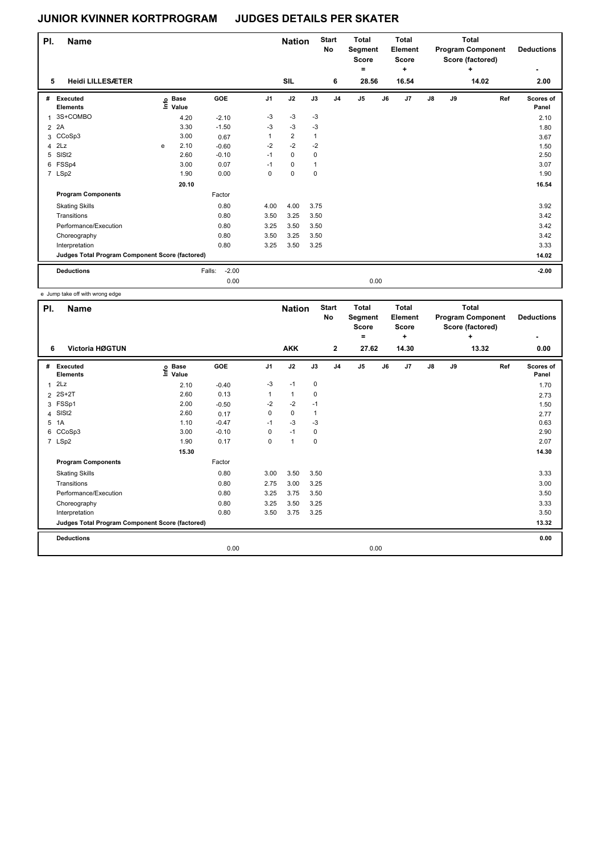| PI.            | <b>Name</b>                                     |    |                      |                   |                | <b>Nation</b>  |              | <b>Start</b><br>No | <b>Total</b><br>Segment<br><b>Score</b><br>۰ |      | <b>Total</b><br>Element<br><b>Score</b><br>÷ |               |    | <b>Total</b><br><b>Program Component</b><br>Score (factored)<br>÷ | <b>Deductions</b>  |
|----------------|-------------------------------------------------|----|----------------------|-------------------|----------------|----------------|--------------|--------------------|----------------------------------------------|------|----------------------------------------------|---------------|----|-------------------------------------------------------------------|--------------------|
| 5              | <b>Heidi LILLESÆTER</b>                         |    |                      |                   |                | SIL            |              | 6                  | 28.56                                        |      | 16.54                                        |               |    | 14.02                                                             | 2.00               |
| #              | Executed<br><b>Elements</b>                     | ١m | <b>Base</b><br>Value | GOE               | J <sub>1</sub> | J2             | J3           | J <sub>4</sub>     | J <sub>5</sub>                               | J6   | J <sub>7</sub>                               | $\mathsf{J}8$ | J9 | Ref                                                               | Scores of<br>Panel |
| 1              | 3S+COMBO                                        |    | 4.20                 | $-2.10$           | $-3$           | $-3$           | -3           |                    |                                              |      |                                              |               |    |                                                                   | 2.10               |
| $\overline{2}$ | 2A                                              |    | 3.30                 | $-1.50$           | $-3$           | $-3$           | $-3$         |                    |                                              |      |                                              |               |    |                                                                   | 1.80               |
|                | 3 CCoSp3                                        |    | 3.00                 | 0.67              | 1              | $\overline{2}$ | $\mathbf{1}$ |                    |                                              |      |                                              |               |    |                                                                   | 3.67               |
| 4              | 2Lz                                             | e  | 2.10                 | $-0.60$           | $-2$           | $-2$           | $-2$         |                    |                                              |      |                                              |               |    |                                                                   | 1.50               |
| 5              | SISt <sub>2</sub>                               |    | 2.60                 | $-0.10$           | $-1$           | 0              | 0            |                    |                                              |      |                                              |               |    |                                                                   | 2.50               |
| 6              | FSSp4                                           |    | 3.00                 | 0.07              | $-1$           | 0              | $\mathbf{1}$ |                    |                                              |      |                                              |               |    |                                                                   | 3.07               |
|                | 7 LSp2                                          |    | 1.90                 | 0.00              | 0              | 0              | $\mathbf 0$  |                    |                                              |      |                                              |               |    |                                                                   | 1.90               |
|                |                                                 |    | 20.10                |                   |                |                |              |                    |                                              |      |                                              |               |    |                                                                   | 16.54              |
|                | <b>Program Components</b>                       |    |                      | Factor            |                |                |              |                    |                                              |      |                                              |               |    |                                                                   |                    |
|                | <b>Skating Skills</b>                           |    |                      | 0.80              | 4.00           | 4.00           | 3.75         |                    |                                              |      |                                              |               |    |                                                                   | 3.92               |
|                | Transitions                                     |    |                      | 0.80              | 3.50           | 3.25           | 3.50         |                    |                                              |      |                                              |               |    |                                                                   | 3.42               |
|                | Performance/Execution                           |    |                      | 0.80              | 3.25           | 3.50           | 3.50         |                    |                                              |      |                                              |               |    |                                                                   | 3.42               |
|                | Choreography                                    |    |                      | 0.80              | 3.50           | 3.25           | 3.50         |                    |                                              |      |                                              |               |    |                                                                   | 3.42               |
|                | Interpretation                                  |    |                      | 0.80              | 3.25           | 3.50           | 3.25         |                    |                                              |      |                                              |               |    |                                                                   | 3.33               |
|                | Judges Total Program Component Score (factored) |    |                      |                   |                |                |              |                    |                                              |      |                                              |               |    |                                                                   | 14.02              |
|                | <b>Deductions</b>                               |    |                      | $-2.00$<br>Falls: |                |                |              |                    |                                              |      |                                              |               |    |                                                                   | $-2.00$            |
|                |                                                 |    |                      | 0.00              |                |                |              |                    |                                              | 0.00 |                                              |               |    |                                                                   |                    |

e Jump take off with wrong edge

| PI.          | <b>Name</b>                                     |                            |         |                | <b>Nation</b> |                | <b>Start</b><br>No | <b>Total</b><br>Segment<br><b>Score</b><br>٠ |    | <b>Total</b><br>Element<br><b>Score</b><br>÷ |               |    | <b>Total</b><br><b>Program Component</b><br>Score (factored)<br>÷ | <b>Deductions</b><br>٠ |
|--------------|-------------------------------------------------|----------------------------|---------|----------------|---------------|----------------|--------------------|----------------------------------------------|----|----------------------------------------------|---------------|----|-------------------------------------------------------------------|------------------------|
| 6            | Victoria HØGTUN                                 |                            |         |                | <b>AKK</b>    |                | $\mathbf{2}$       | 27.62                                        |    | 14.30                                        |               |    | 13.32                                                             | 0.00                   |
| #            | <b>Executed</b><br><b>Elements</b>              | <b>Base</b><br>۴ę<br>Value | GOE     | J <sub>1</sub> | J2            | J3             | J <sub>4</sub>     | J <sub>5</sub>                               | J6 | J <sub>7</sub>                               | $\mathsf{J}8$ | J9 | Ref                                                               | Scores of<br>Panel     |
| $\mathbf{1}$ | 2Lz                                             | 2.10                       | $-0.40$ | $-3$           | $-1$          | $\mathbf 0$    |                    |                                              |    |                                              |               |    |                                                                   | 1.70                   |
|              | 2 2S+2T                                         | 2.60                       | 0.13    | 1              | $\mathbf{1}$  | 0              |                    |                                              |    |                                              |               |    |                                                                   | 2.73                   |
|              | 3 FSSp1                                         | 2.00                       | $-0.50$ | $-2$           | $-2$          | $-1$           |                    |                                              |    |                                              |               |    |                                                                   | 1.50                   |
| 4            | SISt <sub>2</sub>                               | 2.60                       | 0.17    | 0              | $\mathbf 0$   | $\overline{1}$ |                    |                                              |    |                                              |               |    |                                                                   | 2.77                   |
| 5            | 1A                                              | 1.10                       | $-0.47$ | $-1$           | $-3$          | -3             |                    |                                              |    |                                              |               |    |                                                                   | 0.63                   |
| 6            | CCoSp3                                          | 3.00                       | $-0.10$ | 0              | $-1$          | 0              |                    |                                              |    |                                              |               |    |                                                                   | 2.90                   |
|              | 7 LSp2                                          | 1.90                       | 0.17    | 0              | $\mathbf{1}$  | $\mathbf 0$    |                    |                                              |    |                                              |               |    |                                                                   | 2.07                   |
|              |                                                 | 15.30                      |         |                |               |                |                    |                                              |    |                                              |               |    |                                                                   | 14.30                  |
|              | <b>Program Components</b>                       |                            | Factor  |                |               |                |                    |                                              |    |                                              |               |    |                                                                   |                        |
|              | <b>Skating Skills</b>                           |                            | 0.80    | 3.00           | 3.50          | 3.50           |                    |                                              |    |                                              |               |    |                                                                   | 3.33                   |
|              | Transitions                                     |                            | 0.80    | 2.75           | 3.00          | 3.25           |                    |                                              |    |                                              |               |    |                                                                   | 3.00                   |
|              | Performance/Execution                           |                            | 0.80    | 3.25           | 3.75          | 3.50           |                    |                                              |    |                                              |               |    |                                                                   | 3.50                   |
|              | Choreography                                    |                            | 0.80    | 3.25           | 3.50          | 3.25           |                    |                                              |    |                                              |               |    |                                                                   | 3.33                   |
|              | Interpretation                                  |                            | 0.80    | 3.50           | 3.75          | 3.25           |                    |                                              |    |                                              |               |    |                                                                   | 3.50                   |
|              | Judges Total Program Component Score (factored) |                            |         |                |               |                |                    |                                              |    |                                              |               |    |                                                                   | 13.32                  |
|              | <b>Deductions</b>                               |                            |         |                |               |                |                    |                                              |    |                                              |               |    |                                                                   | 0.00                   |
|              |                                                 |                            | 0.00    |                |               |                |                    | 0.00                                         |    |                                              |               |    |                                                                   |                        |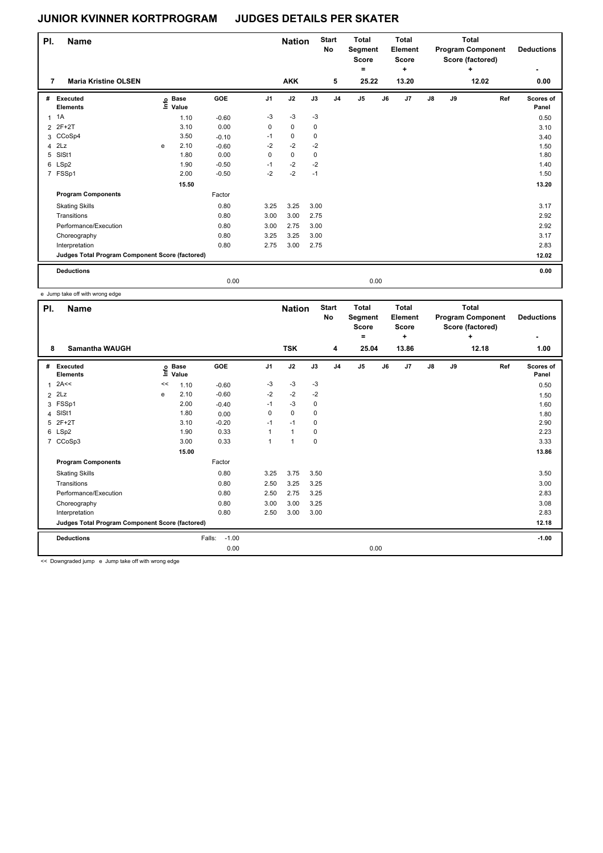| PI. | <b>Name</b>                                     |   |                            |         |             | <b>Nation</b> |             | <b>Start</b><br>No | Total<br>Segment<br><b>Score</b><br>۰ |    | <b>Total</b><br>Element<br><b>Score</b><br>٠ |               |    | <b>Total</b><br><b>Program Component</b><br>Score (factored)<br>÷. | <b>Deductions</b>  |
|-----|-------------------------------------------------|---|----------------------------|---------|-------------|---------------|-------------|--------------------|---------------------------------------|----|----------------------------------------------|---------------|----|--------------------------------------------------------------------|--------------------|
|     | $\overline{7}$<br><b>Maria Kristine OLSEN</b>   |   |                            |         |             | <b>AKK</b>    |             | 5                  | 25.22                                 |    | 13.20                                        |               |    | 12.02                                                              | 0.00               |
| #   | Executed<br><b>Elements</b>                     |   | e Base<br>E Value<br>Value | GOE     | J1          | J2            | J3          | J <sub>4</sub>     | J <sub>5</sub>                        | J6 | J7                                           | $\mathsf{J}8$ | J9 | Ref                                                                | Scores of<br>Panel |
|     | 1A                                              |   | 1.10                       | $-0.60$ | $-3$        | $-3$          | $-3$        |                    |                                       |    |                                              |               |    |                                                                    | 0.50               |
|     | 2 2F+2T                                         |   | 3.10                       | 0.00    | $\mathbf 0$ | $\mathbf 0$   | $\mathbf 0$ |                    |                                       |    |                                              |               |    |                                                                    | 3.10               |
|     | 3 CCoSp4                                        |   | 3.50                       | $-0.10$ | $-1$        | $\mathbf 0$   | $\mathbf 0$ |                    |                                       |    |                                              |               |    |                                                                    | 3.40               |
|     | $4$ $2Lz$                                       | e | 2.10                       | $-0.60$ | $-2$        | $-2$          | $-2$        |                    |                                       |    |                                              |               |    |                                                                    | 1.50               |
| 5   | SISt1                                           |   | 1.80                       | 0.00    | 0           | $\mathbf 0$   | 0           |                    |                                       |    |                                              |               |    |                                                                    | 1.80               |
|     | 6 LSp2                                          |   | 1.90                       | $-0.50$ | $-1$        | $-2$          | $-2$        |                    |                                       |    |                                              |               |    |                                                                    | 1.40               |
|     | 7 FSSp1                                         |   | 2.00                       | $-0.50$ | $-2$        | $-2$          | $-1$        |                    |                                       |    |                                              |               |    |                                                                    | 1.50               |
|     |                                                 |   | 15.50                      |         |             |               |             |                    |                                       |    |                                              |               |    |                                                                    | 13.20              |
|     | <b>Program Components</b>                       |   |                            | Factor  |             |               |             |                    |                                       |    |                                              |               |    |                                                                    |                    |
|     | <b>Skating Skills</b>                           |   |                            | 0.80    | 3.25        | 3.25          | 3.00        |                    |                                       |    |                                              |               |    |                                                                    | 3.17               |
|     | Transitions                                     |   |                            | 0.80    | 3.00        | 3.00          | 2.75        |                    |                                       |    |                                              |               |    |                                                                    | 2.92               |
|     | Performance/Execution                           |   |                            | 0.80    | 3.00        | 2.75          | 3.00        |                    |                                       |    |                                              |               |    |                                                                    | 2.92               |
|     | Choreography                                    |   |                            | 0.80    | 3.25        | 3.25          | 3.00        |                    |                                       |    |                                              |               |    |                                                                    | 3.17               |
|     | Interpretation                                  |   |                            | 0.80    | 2.75        | 3.00          | 2.75        |                    |                                       |    |                                              |               |    |                                                                    | 2.83               |
|     | Judges Total Program Component Score (factored) |   |                            |         |             |               |             |                    |                                       |    |                                              |               |    |                                                                    | 12.02              |
|     | <b>Deductions</b>                               |   |                            |         |             |               |             |                    |                                       |    |                                              |               |    |                                                                    | 0.00               |
|     |                                                 |   |                            | 0.00    |             |               |             |                    | 0.00                                  |    |                                              |               |    |                                                                    |                    |

e Jump take off with wrong edge

| PI.            | <b>Name</b>                                     |    |                            |                   |                | <b>Nation</b> |      | <b>Start</b><br>No | <b>Total</b><br>Segment<br><b>Score</b><br>۰ |      | <b>Total</b><br>Element<br><b>Score</b><br>÷ |               |    | <b>Total</b><br><b>Program Component</b><br>Score (factored)<br>÷ | <b>Deductions</b>  |
|----------------|-------------------------------------------------|----|----------------------------|-------------------|----------------|---------------|------|--------------------|----------------------------------------------|------|----------------------------------------------|---------------|----|-------------------------------------------------------------------|--------------------|
| 8              | <b>Samantha WAUGH</b>                           |    |                            |                   |                | <b>TSK</b>    |      | 4                  | 25.04                                        |      | 13.86                                        |               |    | 12.18                                                             | 1.00               |
| #              | Executed<br><b>Elements</b>                     |    | e Base<br>E Value<br>Value | GOE               | J <sub>1</sub> | J2            | J3   | J <sub>4</sub>     | J <sub>5</sub>                               | J6   | J <sub>7</sub>                               | $\mathsf{J}8$ | J9 | Ref                                                               | Scores of<br>Panel |
| $\mathbf{1}$   | 2A<<                                            | << | 1.10                       | $-0.60$           | $-3$           | $-3$          | $-3$ |                    |                                              |      |                                              |               |    |                                                                   | 0.50               |
| $\overline{2}$ | 2Lz                                             | e  | 2.10                       | $-0.60$           | $-2$           | $-2$          | $-2$ |                    |                                              |      |                                              |               |    |                                                                   | 1.50               |
|                | 3 FSSp1                                         |    | 2.00                       | $-0.40$           | $-1$           | $-3$          | 0    |                    |                                              |      |                                              |               |    |                                                                   | 1.60               |
|                | 4 SISt1                                         |    | 1.80                       | 0.00              | 0              | $\Omega$      | 0    |                    |                                              |      |                                              |               |    |                                                                   | 1.80               |
| 5              | $2F+2T$                                         |    | 3.10                       | $-0.20$           | $-1$           | $-1$          | 0    |                    |                                              |      |                                              |               |    |                                                                   | 2.90               |
|                | 6 LSp2                                          |    | 1.90                       | 0.33              | 1              | $\mathbf{1}$  | 0    |                    |                                              |      |                                              |               |    |                                                                   | 2.23               |
|                | 7 CCoSp3                                        |    | 3.00                       | 0.33              | 1              | 1             | 0    |                    |                                              |      |                                              |               |    |                                                                   | 3.33               |
|                |                                                 |    | 15.00                      |                   |                |               |      |                    |                                              |      |                                              |               |    |                                                                   | 13.86              |
|                | <b>Program Components</b>                       |    |                            | Factor            |                |               |      |                    |                                              |      |                                              |               |    |                                                                   |                    |
|                | <b>Skating Skills</b>                           |    |                            | 0.80              | 3.25           | 3.75          | 3.50 |                    |                                              |      |                                              |               |    |                                                                   | 3.50               |
|                | Transitions                                     |    |                            | 0.80              | 2.50           | 3.25          | 3.25 |                    |                                              |      |                                              |               |    |                                                                   | 3.00               |
|                | Performance/Execution                           |    |                            | 0.80              | 2.50           | 2.75          | 3.25 |                    |                                              |      |                                              |               |    |                                                                   | 2.83               |
|                | Choreography                                    |    |                            | 0.80              | 3.00           | 3.00          | 3.25 |                    |                                              |      |                                              |               |    |                                                                   | 3.08               |
|                | Interpretation                                  |    |                            | 0.80              | 2.50           | 3.00          | 3.00 |                    |                                              |      |                                              |               |    |                                                                   | 2.83               |
|                | Judges Total Program Component Score (factored) |    |                            |                   |                |               |      |                    |                                              |      |                                              |               |    |                                                                   | 12.18              |
|                | <b>Deductions</b>                               |    |                            | $-1.00$<br>Falls: |                |               |      |                    |                                              |      |                                              |               |    |                                                                   | $-1.00$            |
|                |                                                 |    |                            | 0.00              |                |               |      |                    |                                              | 0.00 |                                              |               |    |                                                                   |                    |

<< Downgraded jump e Jump take off with wrong edge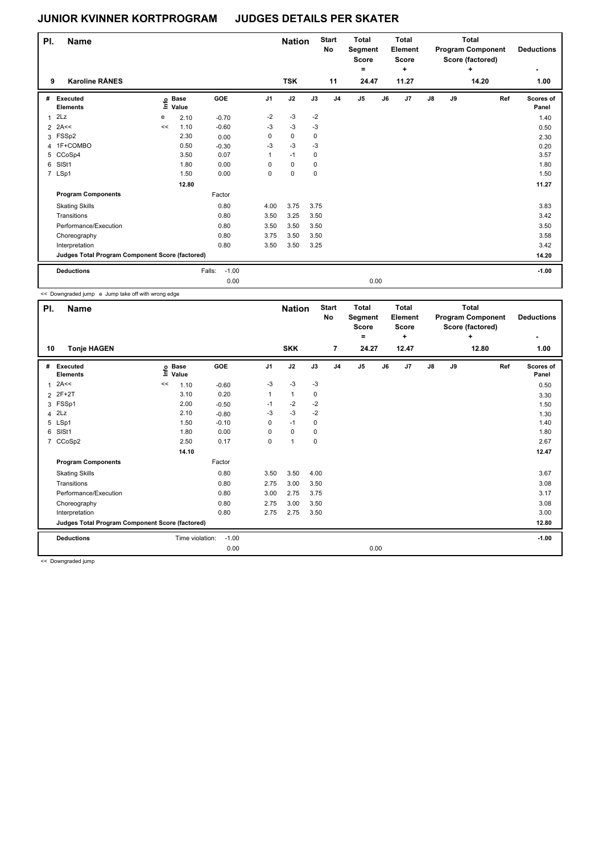| PI. | <b>Name</b>                                     |      |                      |                   |                | <b>Nation</b> |             | <b>Start</b><br>No | <b>Total</b><br>Segment<br><b>Score</b><br>۰ |      | <b>Total</b><br>Element<br><b>Score</b><br>÷ |               |    | <b>Total</b><br><b>Program Component</b><br>Score (factored)<br>٠ | <b>Deductions</b>         |
|-----|-------------------------------------------------|------|----------------------|-------------------|----------------|---------------|-------------|--------------------|----------------------------------------------|------|----------------------------------------------|---------------|----|-------------------------------------------------------------------|---------------------------|
| 9   | <b>Karoline RÅNES</b>                           |      |                      |                   |                | <b>TSK</b>    |             | 11                 | 24.47                                        |      | 11.27                                        |               |    | 14.20                                                             | 1.00                      |
| #   | Executed<br><b>Elements</b>                     | lnfo | <b>Base</b><br>Value | GOE               | J <sub>1</sub> | J2            | J3          | J <sub>4</sub>     | J <sub>5</sub>                               | J6   | J <sub>7</sub>                               | $\mathsf{J}8$ | J9 | Ref                                                               | <b>Scores of</b><br>Panel |
| 1   | 2Lz                                             | e    | 2.10                 | $-0.70$           | $-2$           | $-3$          | $-2$        |                    |                                              |      |                                              |               |    |                                                                   | 1.40                      |
|     | $2$ 2A<<                                        | <<   | 1.10                 | $-0.60$           | $-3$           | $-3$          | $-3$        |                    |                                              |      |                                              |               |    |                                                                   | 0.50                      |
| 3   | FSSp2                                           |      | 2.30                 | 0.00              | 0              | $\mathbf 0$   | 0           |                    |                                              |      |                                              |               |    |                                                                   | 2.30                      |
|     | 4 1F+COMBO                                      |      | 0.50                 | $-0.30$           | -3             | $-3$          | $-3$        |                    |                                              |      |                                              |               |    |                                                                   | 0.20                      |
|     | 5 CCoSp4                                        |      | 3.50                 | 0.07              | 1              | $-1$          | 0           |                    |                                              |      |                                              |               |    |                                                                   | 3.57                      |
| 6   | SIS <sub>t1</sub>                               |      | 1.80                 | 0.00              | 0              | $\mathbf 0$   | 0           |                    |                                              |      |                                              |               |    |                                                                   | 1.80                      |
|     | 7 LSp1                                          |      | 1.50                 | 0.00              | 0              | 0             | $\mathbf 0$ |                    |                                              |      |                                              |               |    |                                                                   | 1.50                      |
|     |                                                 |      | 12.80                |                   |                |               |             |                    |                                              |      |                                              |               |    |                                                                   | 11.27                     |
|     | <b>Program Components</b>                       |      |                      | Factor            |                |               |             |                    |                                              |      |                                              |               |    |                                                                   |                           |
|     | <b>Skating Skills</b>                           |      |                      | 0.80              | 4.00           | 3.75          | 3.75        |                    |                                              |      |                                              |               |    |                                                                   | 3.83                      |
|     | Transitions                                     |      |                      | 0.80              | 3.50           | 3.25          | 3.50        |                    |                                              |      |                                              |               |    |                                                                   | 3.42                      |
|     | Performance/Execution                           |      |                      | 0.80              | 3.50           | 3.50          | 3.50        |                    |                                              |      |                                              |               |    |                                                                   | 3.50                      |
|     | Choreography                                    |      |                      | 0.80              | 3.75           | 3.50          | 3.50        |                    |                                              |      |                                              |               |    |                                                                   | 3.58                      |
|     | Interpretation                                  |      |                      | 0.80              | 3.50           | 3.50          | 3.25        |                    |                                              |      |                                              |               |    |                                                                   | 3.42                      |
|     | Judges Total Program Component Score (factored) |      |                      |                   |                |               |             |                    |                                              |      |                                              |               |    |                                                                   | 14.20                     |
|     | <b>Deductions</b>                               |      |                      | $-1.00$<br>Falls: |                |               |             |                    |                                              |      |                                              |               |    |                                                                   | $-1.00$                   |
|     |                                                 |      |                      | 0.00              |                |               |             |                    |                                              | 0.00 |                                              |               |    |                                                                   |                           |

<< Downgraded jump e Jump take off with wrong edge

| PI.<br>10      | <b>Name</b><br><b>Tonje HAGEN</b>               |    |                      |         |                | <b>Nation</b><br><b>SKK</b> |             | <b>Start</b><br>No<br>$\overline{7}$ | <b>Total</b><br>Segment<br><b>Score</b><br>Ξ.<br>24.27 |      | <b>Total</b><br>Element<br><b>Score</b><br>$\ddot{}$<br>12.47 |               |    | <b>Total</b><br><b>Program Component</b><br>Score (factored)<br>÷<br>12.80 | <b>Deductions</b><br>1.00 |
|----------------|-------------------------------------------------|----|----------------------|---------|----------------|-----------------------------|-------------|--------------------------------------|--------------------------------------------------------|------|---------------------------------------------------------------|---------------|----|----------------------------------------------------------------------------|---------------------------|
|                |                                                 |    |                      |         |                |                             |             |                                      |                                                        |      |                                                               |               |    |                                                                            |                           |
| #              | Executed<br><b>Elements</b>                     | ۴۵ | <b>Base</b><br>Value | GOE     | J <sub>1</sub> | J2                          | J3          | J <sub>4</sub>                       | J <sub>5</sub>                                         | J6   | J7                                                            | $\mathsf{J}8$ | J9 | Ref                                                                        | Scores of<br>Panel        |
| 1              | 2A<<                                            | << | 1.10                 | $-0.60$ | $-3$           | $-3$                        | $-3$        |                                      |                                                        |      |                                                               |               |    |                                                                            | 0.50                      |
| $\overline{2}$ | 2F+2T                                           |    | 3.10                 | 0.20    | 1              | $\mathbf{1}$                | 0           |                                      |                                                        |      |                                                               |               |    |                                                                            | 3.30                      |
|                | 3 FSSp1                                         |    | 2.00                 | $-0.50$ | $-1$           | $-2$                        | $-2$        |                                      |                                                        |      |                                                               |               |    |                                                                            | 1.50                      |
| 4              | 2Lz                                             |    | 2.10                 | $-0.80$ | -3             | $-3$                        | $-2$        |                                      |                                                        |      |                                                               |               |    |                                                                            | 1.30                      |
| 5              | LSp1                                            |    | 1.50                 | $-0.10$ | 0              | $-1$                        | 0           |                                      |                                                        |      |                                                               |               |    |                                                                            | 1.40                      |
| 6              | SISt1                                           |    | 1.80                 | 0.00    | 0              | $\mathbf 0$                 | $\mathbf 0$ |                                      |                                                        |      |                                                               |               |    |                                                                            | 1.80                      |
|                | 7 CCoSp2                                        |    | 2.50                 | 0.17    | 0              | $\overline{1}$              | $\pmb{0}$   |                                      |                                                        |      |                                                               |               |    |                                                                            | 2.67                      |
|                |                                                 |    | 14.10                |         |                |                             |             |                                      |                                                        |      |                                                               |               |    |                                                                            | 12.47                     |
|                | <b>Program Components</b>                       |    |                      | Factor  |                |                             |             |                                      |                                                        |      |                                                               |               |    |                                                                            |                           |
|                | <b>Skating Skills</b>                           |    |                      | 0.80    | 3.50           | 3.50                        | 4.00        |                                      |                                                        |      |                                                               |               |    |                                                                            | 3.67                      |
|                | Transitions                                     |    |                      | 0.80    | 2.75           | 3.00                        | 3.50        |                                      |                                                        |      |                                                               |               |    |                                                                            | 3.08                      |
|                | Performance/Execution                           |    |                      | 0.80    | 3.00           | 2.75                        | 3.75        |                                      |                                                        |      |                                                               |               |    |                                                                            | 3.17                      |
|                | Choreography                                    |    |                      | 0.80    | 2.75           | 3.00                        | 3.50        |                                      |                                                        |      |                                                               |               |    |                                                                            | 3.08                      |
|                | Interpretation                                  |    |                      | 0.80    | 2.75           | 2.75                        | 3.50        |                                      |                                                        |      |                                                               |               |    |                                                                            | 3.00                      |
|                | Judges Total Program Component Score (factored) |    |                      |         |                |                             |             |                                      |                                                        |      |                                                               |               |    |                                                                            | 12.80                     |
|                | <b>Deductions</b>                               |    | Time violation:      | $-1.00$ |                |                             |             |                                      |                                                        |      |                                                               |               |    |                                                                            | $-1.00$                   |
|                |                                                 |    |                      | 0.00    |                |                             |             |                                      |                                                        | 0.00 |                                                               |               |    |                                                                            |                           |

<< Downgraded jump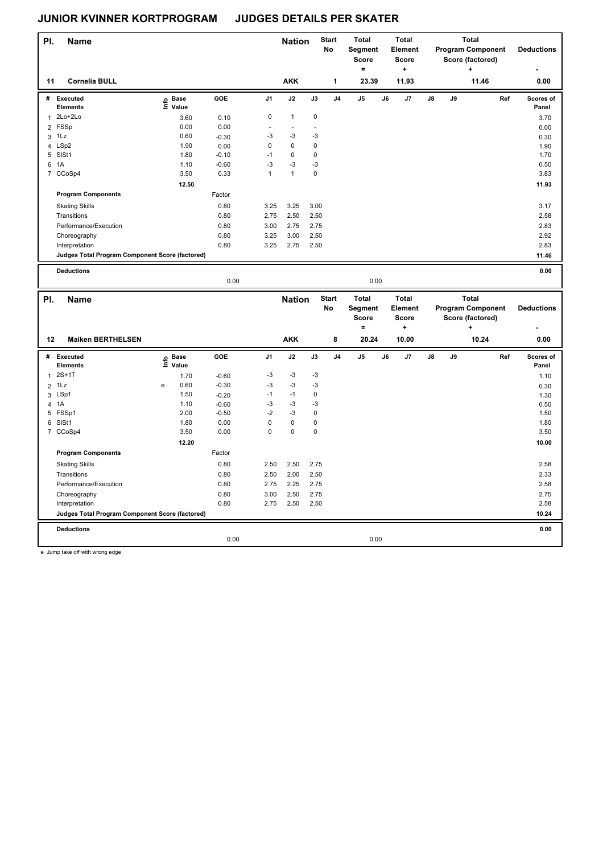| PI.            | Name                                            |                   |         |              | <b>Nation</b> |             | <b>Start</b>   | <b>Total</b>            |    | <b>Total</b>                   |                |    | <b>Total</b>                                 |     |                    |
|----------------|-------------------------------------------------|-------------------|---------|--------------|---------------|-------------|----------------|-------------------------|----|--------------------------------|----------------|----|----------------------------------------------|-----|--------------------|
|                |                                                 |                   |         |              |               |             | No             | Segment<br><b>Score</b> |    | <b>Element</b><br><b>Score</b> |                |    | <b>Program Component</b><br>Score (factored) |     | <b>Deductions</b>  |
|                |                                                 |                   |         |              |               |             |                | $\equiv$                |    | $\ddot{}$                      |                |    | ٠                                            |     |                    |
| 11             | <b>Cornelia BULL</b>                            |                   |         |              | <b>AKK</b>    |             | 1              | 23.39                   |    | 11.93                          |                |    | 11.46                                        |     | 0.00               |
| #              | <b>Executed</b>                                 |                   | GOE     | J1           | J2            | J3          | J <sub>4</sub> | $\mathsf{J}5$           | J6 | J7                             | $\mathbf{J}$ 8 | J9 |                                              | Ref | Scores of          |
|                | <b>Elements</b>                                 | e Base<br>E Value |         |              |               |             |                |                         |    |                                |                |    |                                              |     | Panel              |
| $\mathbf{1}$   | 2Lo+2Lo                                         | 3.60              | 0.10    | $\mathbf 0$  | $\mathbf{1}$  | $\mathbf 0$ |                |                         |    |                                |                |    |                                              |     | 3.70               |
|                | 2 FSSp                                          | 0.00              | 0.00    |              | ÷,            |             |                |                         |    |                                |                |    |                                              |     | 0.00               |
|                | $3$ 1 Lz                                        | 0.60              | $-0.30$ | $-3$         | $-3$          | $-3$        |                |                         |    |                                |                |    |                                              |     | 0.30               |
|                | 4 LSp2                                          | 1.90              | 0.00    | $\mathbf 0$  | $\mathbf 0$   | $\mathbf 0$ |                |                         |    |                                |                |    |                                              |     | 1.90               |
|                | 5 SISt1                                         | 1.80              | $-0.10$ | $-1$         | $\pmb{0}$     | $\pmb{0}$   |                |                         |    |                                |                |    |                                              |     | 1.70               |
| 6              | 1A                                              | 1.10              | $-0.60$ | $-3$         | $-3$          | $-3$        |                |                         |    |                                |                |    |                                              |     | 0.50               |
|                | 7 CCoSp4                                        | 3.50              | 0.33    | $\mathbf{1}$ | $\mathbf{1}$  | $\mathbf 0$ |                |                         |    |                                |                |    |                                              |     | 3.83               |
|                |                                                 | 12.50             |         |              |               |             |                |                         |    |                                |                |    |                                              |     | 11.93              |
|                | <b>Program Components</b>                       |                   | Factor  |              |               |             |                |                         |    |                                |                |    |                                              |     |                    |
|                | <b>Skating Skills</b>                           |                   | 0.80    | 3.25         | 3.25          | 3.00        |                |                         |    |                                |                |    |                                              |     | 3.17               |
|                | Transitions                                     |                   | 0.80    | 2.75         | 2.50          | 2.50        |                |                         |    |                                |                |    |                                              |     | 2.58               |
|                | Performance/Execution                           |                   | 0.80    | 3.00         | 2.75          | 2.75        |                |                         |    |                                |                |    |                                              |     | 2.83               |
|                | Choreography                                    |                   | 0.80    | 3.25         | 3.00          | 2.50        |                |                         |    |                                |                |    |                                              |     | 2.92               |
|                | Interpretation                                  |                   | 0.80    | 3.25         | 2.75          | 2.50        |                |                         |    |                                |                |    |                                              |     | 2.83               |
|                | Judges Total Program Component Score (factored) |                   |         |              |               |             |                |                         |    |                                |                |    |                                              |     | 11.46              |
|                | <b>Deductions</b>                               |                   |         |              |               |             |                |                         |    |                                |                |    |                                              |     | 0.00               |
|                |                                                 |                   | 0.00    |              |               |             |                |                         |    |                                |                |    |                                              |     |                    |
|                |                                                 |                   |         |              |               |             |                | 0.00                    |    |                                |                |    |                                              |     |                    |
|                |                                                 |                   |         |              |               |             |                |                         |    |                                |                |    |                                              |     |                    |
| PI.            | <b>Name</b>                                     |                   |         |              | <b>Nation</b> |             | <b>Start</b>   | <b>Total</b>            |    | <b>Total</b>                   |                |    | <b>Total</b>                                 |     |                    |
|                |                                                 |                   |         |              |               |             | No             | Segment<br><b>Score</b> |    | Element<br><b>Score</b>        |                |    | <b>Program Component</b><br>Score (factored) |     | <b>Deductions</b>  |
|                |                                                 |                   |         |              |               |             |                | $\qquad \qquad =$       |    | $\ddot{}$                      |                |    | ÷                                            |     |                    |
| 12             | <b>Maiken BERTHELSEN</b>                        |                   |         |              | <b>AKK</b>    |             | 8              | 20.24                   |    | 10.00                          |                |    | 10.24                                        |     | 0.00               |
|                |                                                 |                   |         |              |               |             |                |                         |    |                                |                |    |                                              |     |                    |
| #              | <b>Executed</b><br><b>Elements</b>              | e Base<br>⊆ Value | GOE     | J1           | J2            | J3          | J <sub>4</sub> | J5                      | J6 | J7                             | J8             | J9 |                                              | Ref | Scores of<br>Panel |
| $\mathbf{1}$   | $2S+1T$                                         | 1.70              | $-0.60$ | $-3$         | $-3$          | $-3$        |                |                         |    |                                |                |    |                                              |     | 1.10               |
| $\overline{2}$ | 1Lz                                             | 0.60<br>e         | $-0.30$ | $-3$         | $-3$          | $-3$        |                |                         |    |                                |                |    |                                              |     |                    |
|                | 3 LSp1                                          | 1.50              | $-0.20$ | $-1$         | $-1$          | $\pmb{0}$   |                |                         |    |                                |                |    |                                              |     | 0.30<br>1.30       |
| 4 1A           |                                                 | 1.10              | $-0.60$ | $-3$         | $-3$          | $-3$        |                |                         |    |                                |                |    |                                              |     | 0.50               |
|                | 5 FSSp1                                         | 2.00              | $-0.50$ | $-2$         | $-3$          | $\pmb{0}$   |                |                         |    |                                |                |    |                                              |     | 1.50               |
|                | 6 SISt1                                         | 1.80              | 0.00    | $\mathbf 0$  | $\pmb{0}$     | $\pmb{0}$   |                |                         |    |                                |                |    |                                              |     | 1.80               |
|                | 7 CCoSp4                                        | 3.50              | 0.00    | $\mathbf 0$  | $\pmb{0}$     | $\pmb{0}$   |                |                         |    |                                |                |    |                                              |     | 3.50               |
|                |                                                 | 12.20             |         |              |               |             |                |                         |    |                                |                |    |                                              |     | 10.00              |
|                | <b>Program Components</b>                       |                   | Factor  |              |               |             |                |                         |    |                                |                |    |                                              |     |                    |
|                | <b>Skating Skills</b>                           |                   | 0.80    | 2.50         | 2.50          | 2.75        |                |                         |    |                                |                |    |                                              |     | 2.58               |
|                | Transitions                                     |                   | 0.80    | 2.50         | 2.00          | 2.50        |                |                         |    |                                |                |    |                                              |     | 2.33               |
|                | Performance/Execution                           |                   | 0.80    | 2.75         | 2.25          | 2.75        |                |                         |    |                                |                |    |                                              |     | 2.58               |
|                | Choreography                                    |                   | 0.80    | 3.00         | 2.50          | 2.75        |                |                         |    |                                |                |    |                                              |     | 2.75               |
|                | Interpretation                                  |                   | 0.80    | 2.75         | 2.50          | 2.50        |                |                         |    |                                |                |    |                                              |     | 2.58               |
|                | Judges Total Program Component Score (factored) |                   |         |              |               |             |                |                         |    |                                |                |    |                                              |     | 10.24              |
|                |                                                 |                   |         |              |               |             |                |                         |    |                                |                |    |                                              |     |                    |
|                | <b>Deductions</b>                               |                   | 0.00    |              |               |             |                | 0.00                    |    |                                |                |    |                                              |     | 0.00               |

e Jump take off with wrong edge